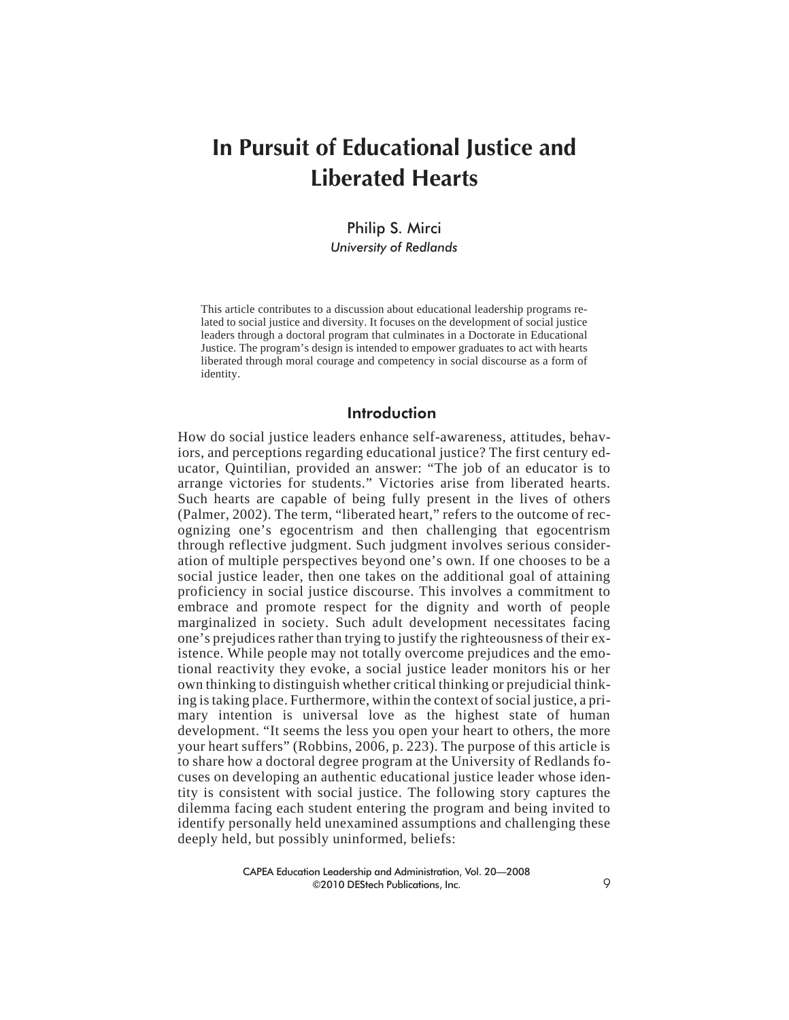# **In Pursuit of Educational Justice and Liberated Hearts**

Philip S. Mirci *University of Redlands*

This article contributes to a discussion about educational leadership programs related to social justice and diversity. It focuses on the development of social justice leaders through a doctoral program that culminates in a Doctorate in Educational Justice. The program's design is intended to empower graduates to act with hearts liberated through moral courage and competency in social discourse as a form of identity.

## Introduction

How do social justice leaders enhance self-awareness, attitudes, behaviors, and perceptions regarding educational justice? The first century educator, Quintilian, provided an answer: "The job of an educator is to arrange victories for students." Victories arise from liberated hearts. Such hearts are capable of being fully present in the lives of others (Palmer, 2002). The term, "liberated heart," refers to the outcome of recognizing one's egocentrism and then challenging that egocentrism through reflective judgment. Such judgment involves serious consideration of multiple perspectives beyond one's own. If one chooses to be a social justice leader, then one takes on the additional goal of attaining proficiency in social justice discourse. This involves a commitment to embrace and promote respect for the dignity and worth of people marginalized in society. Such adult development necessitates facing one's prejudices rather than trying to justify the righteousness of their existence. While people may not totally overcome prejudices and the emotional reactivity they evoke, a social justice leader monitors his or her own thinking to distinguish whether critical thinking or prejudicial thinking is taking place. Furthermore, within the context of social justice, a primary intention is universal love as the highest state of human development. "It seems the less you open your heart to others, the more your heart suffers" (Robbins, 2006, p. 223). The purpose of this article is to share how a doctoral degree program at the University of Redlands focuses on developing an authentic educational justice leader whose identity is consistent with social justice. The following story captures the dilemma facing each student entering the program and being invited to identify personally held unexamined assumptions and challenging these deeply held, but possibly uninformed, beliefs: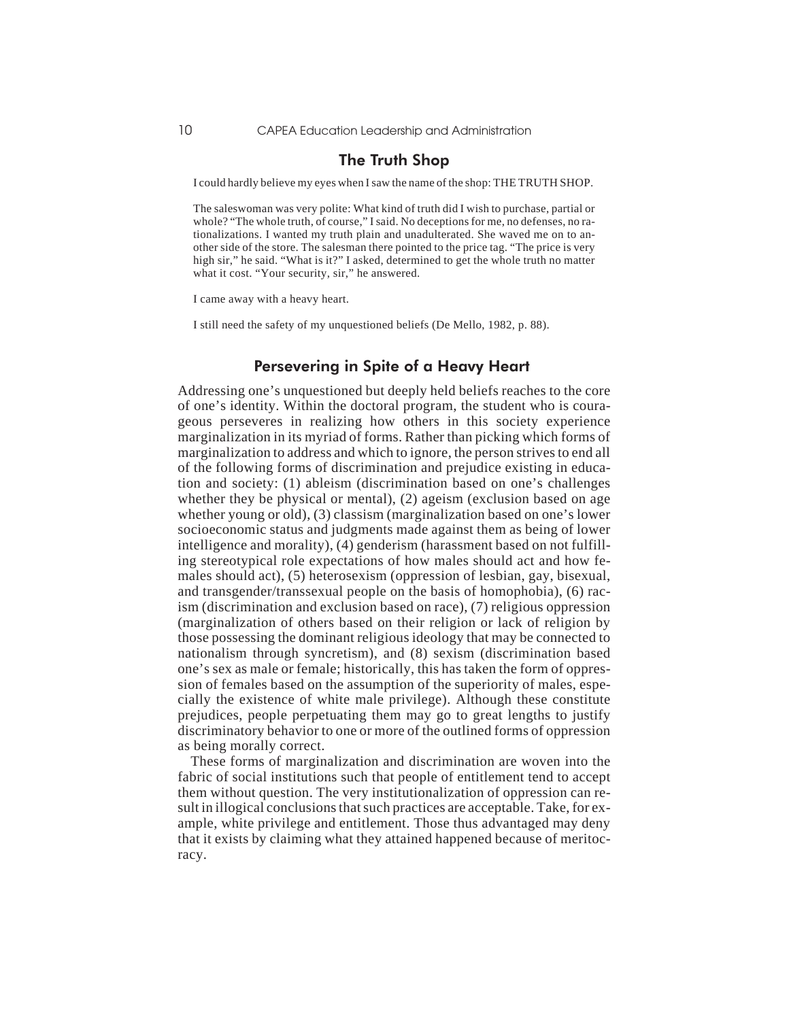# The Truth Shop

I could hardly believe my eyes when I saw the name of the shop: THE TRUTH SHOP.

The saleswoman was very polite: What kind of truth did I wish to purchase, partial or whole? "The whole truth, of course," I said. No deceptions for me, no defenses, no rationalizations. I wanted my truth plain and unadulterated. She waved me on to another side of the store. The salesman there pointed to the price tag. "The price is very high sir," he said. "What is it?" I asked, determined to get the whole truth no matter what it cost. "Your security, sir," he answered.

I came away with a heavy heart.

I still need the safety of my unquestioned beliefs (De Mello, 1982, p. 88).

#### Persevering in Spite of a Heavy Heart

Addressing one's unquestioned but deeply held beliefs reaches to the core of one's identity. Within the doctoral program, the student who is courageous perseveres in realizing how others in this society experience marginalization in its myriad of forms. Rather than picking which forms of marginalization to address and which to ignore, the person strives to end all of the following forms of discrimination and prejudice existing in education and society: (1) ableism (discrimination based on one's challenges whether they be physical or mental), (2) ageism (exclusion based on age whether young or old), (3) classism (marginalization based on one's lower socioeconomic status and judgments made against them as being of lower intelligence and morality), (4) genderism (harassment based on not fulfilling stereotypical role expectations of how males should act and how females should act), (5) heterosexism (oppression of lesbian, gay, bisexual, and transgender/transsexual people on the basis of homophobia), (6) racism (discrimination and exclusion based on race), (7) religious oppression (marginalization of others based on their religion or lack of religion by those possessing the dominant religious ideology that may be connected to nationalism through syncretism), and (8) sexism (discrimination based one's sex as male or female; historically, this has taken the form of oppression of females based on the assumption of the superiority of males, especially the existence of white male privilege). Although these constitute prejudices, people perpetuating them may go to great lengths to justify discriminatory behavior to one or more of the outlined forms of oppression as being morally correct.

These forms of marginalization and discrimination are woven into the fabric of social institutions such that people of entitlement tend to accept them without question. The very institutionalization of oppression can result in illogical conclusions that such practices are acceptable. Take, for example, white privilege and entitlement. Those thus advantaged may deny that it exists by claiming what they attained happened because of meritocracy.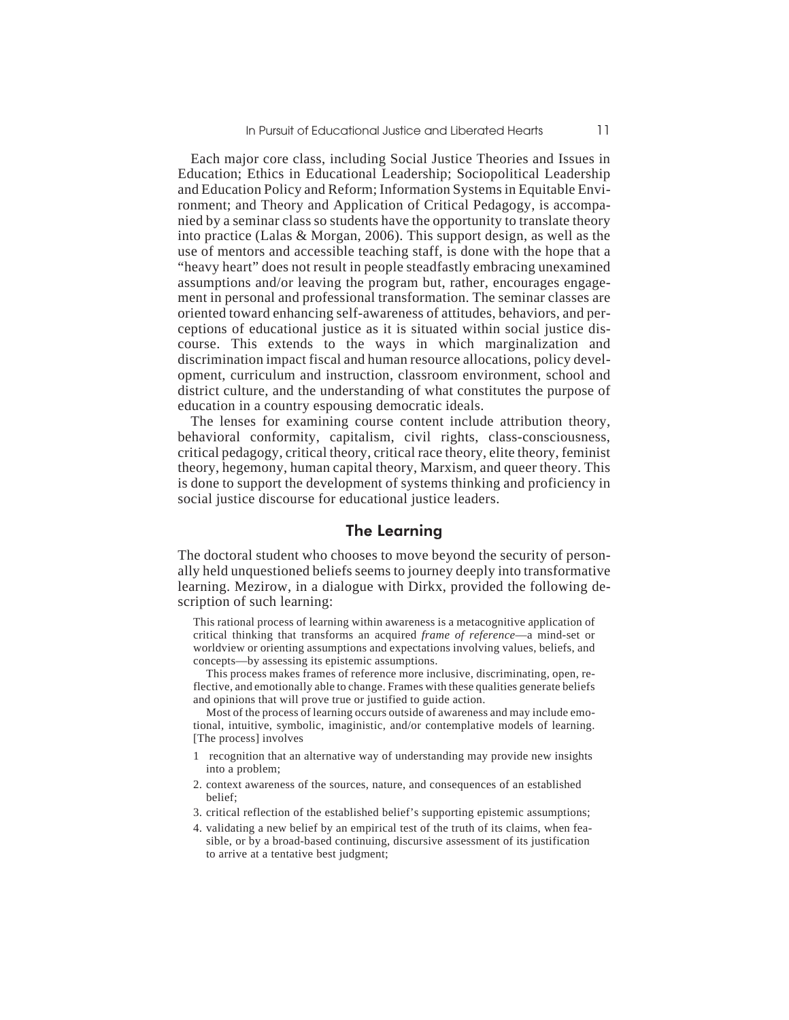Each major core class, including Social Justice Theories and Issues in Education; Ethics in Educational Leadership; Sociopolitical Leadership and Education Policy and Reform; Information Systems in Equitable Environment; and Theory and Application of Critical Pedagogy, is accompanied by a seminar class so students have the opportunity to translate theory into practice (Lalas & Morgan, 2006). This support design, as well as the use of mentors and accessible teaching staff, is done with the hope that a "heavy heart" does not result in people steadfastly embracing unexamined assumptions and/or leaving the program but, rather, encourages engagement in personal and professional transformation. The seminar classes are oriented toward enhancing self-awareness of attitudes, behaviors, and perceptions of educational justice as it is situated within social justice discourse. This extends to the ways in which marginalization and discrimination impact fiscal and human resource allocations, policy development, curriculum and instruction, classroom environment, school and district culture, and the understanding of what constitutes the purpose of education in a country espousing democratic ideals.

The lenses for examining course content include attribution theory, behavioral conformity, capitalism, civil rights, class-consciousness, critical pedagogy, critical theory, critical race theory, elite theory, feminist theory, hegemony, human capital theory, Marxism, and queer theory. This is done to support the development of systems thinking and proficiency in social justice discourse for educational justice leaders.

#### The Learning

The doctoral student who chooses to move beyond the security of personally held unquestioned beliefs seems to journey deeply into transformative learning. Mezirow, in a dialogue with Dirkx, provided the following description of such learning:

This rational process of learning within awareness is a metacognitive application of critical thinking that transforms an acquired *frame of reference*—a mind-set or worldview or orienting assumptions and expectations involving values, beliefs, and concepts—by assessing its epistemic assumptions.

This process makes frames of reference more inclusive, discriminating, open, reflective, and emotionally able to change. Frames with these qualities generate beliefs and opinions that will prove true or justified to guide action.

Most of the process of learning occurs outside of awareness and may include emotional, intuitive, symbolic, imaginistic, and/or contemplative models of learning. [The process] involves

- 1 recognition that an alternative way of understanding may provide new insights into a problem;
- 2. context awareness of the sources, nature, and consequences of an established belief;
- 3. critical reflection of the established belief's supporting epistemic assumptions;
- 4. validating a new belief by an empirical test of the truth of its claims, when feasible, or by a broad-based continuing, discursive assessment of its justification to arrive at a tentative best judgment;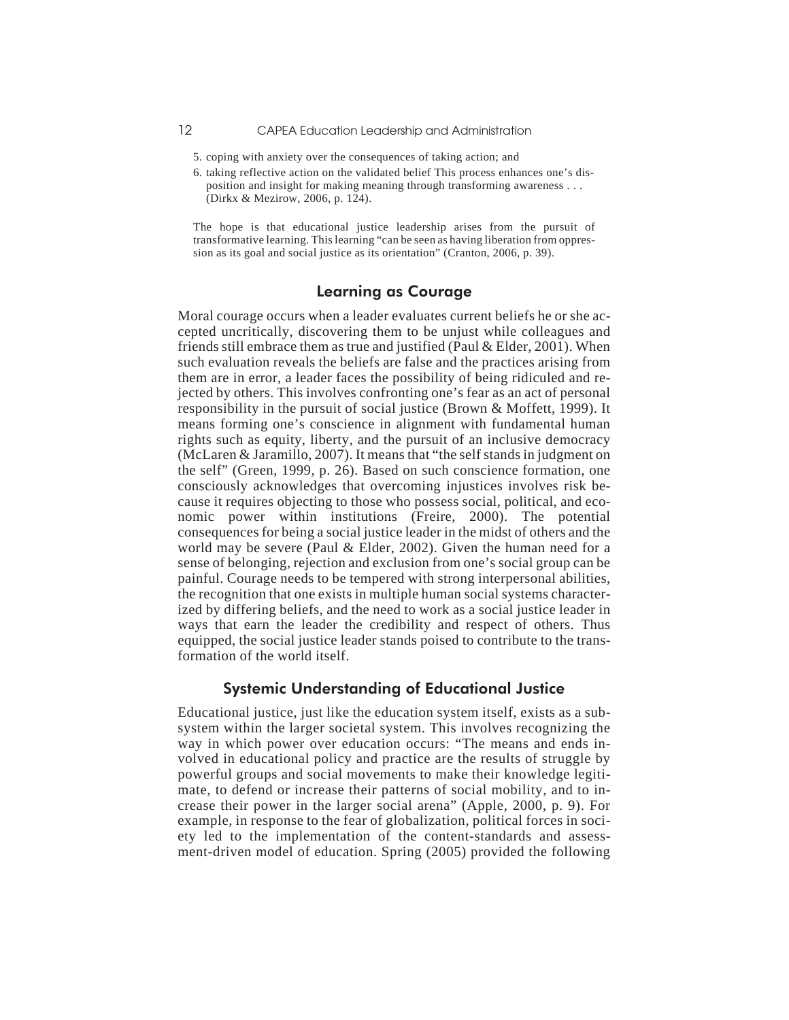- 5. coping with anxiety over the consequences of taking action; and
- 6. taking reflective action on the validated belief This process enhances one's disposition and insight for making meaning through transforming awareness . . . (Dirkx & Mezirow, 2006, p. 124).

The hope is that educational justice leadership arises from the pursuit of transformative learning. This learning "can be seen as having liberation from oppression as its goal and social justice as its orientation" (Cranton, 2006, p. 39).

# Learning as Courage

Moral courage occurs when a leader evaluates current beliefs he or she accepted uncritically, discovering them to be unjust while colleagues and friends still embrace them as true and justified (Paul & Elder, 2001). When such evaluation reveals the beliefs are false and the practices arising from them are in error, a leader faces the possibility of being ridiculed and rejected by others. This involves confronting one's fear as an act of personal responsibility in the pursuit of social justice (Brown & Moffett, 1999). It means forming one's conscience in alignment with fundamental human rights such as equity, liberty, and the pursuit of an inclusive democracy (McLaren & Jaramillo, 2007). It means that "the self stands in judgment on the self" (Green, 1999, p. 26). Based on such conscience formation, one consciously acknowledges that overcoming injustices involves risk because it requires objecting to those who possess social, political, and economic power within institutions (Freire, 2000). The potential consequences for being a social justice leader in the midst of others and the world may be severe (Paul & Elder, 2002). Given the human need for a sense of belonging, rejection and exclusion from one's social group can be painful. Courage needs to be tempered with strong interpersonal abilities, the recognition that one exists in multiple human social systems characterized by differing beliefs, and the need to work as a social justice leader in ways that earn the leader the credibility and respect of others. Thus equipped, the social justice leader stands poised to contribute to the transformation of the world itself.

## Systemic Understanding of Educational Justice

Educational justice, just like the education system itself, exists as a subsystem within the larger societal system. This involves recognizing the way in which power over education occurs: "The means and ends involved in educational policy and practice are the results of struggle by powerful groups and social movements to make their knowledge legitimate, to defend or increase their patterns of social mobility, and to increase their power in the larger social arena" (Apple, 2000, p. 9). For example, in response to the fear of globalization, political forces in society led to the implementation of the content-standards and assessment-driven model of education. Spring (2005) provided the following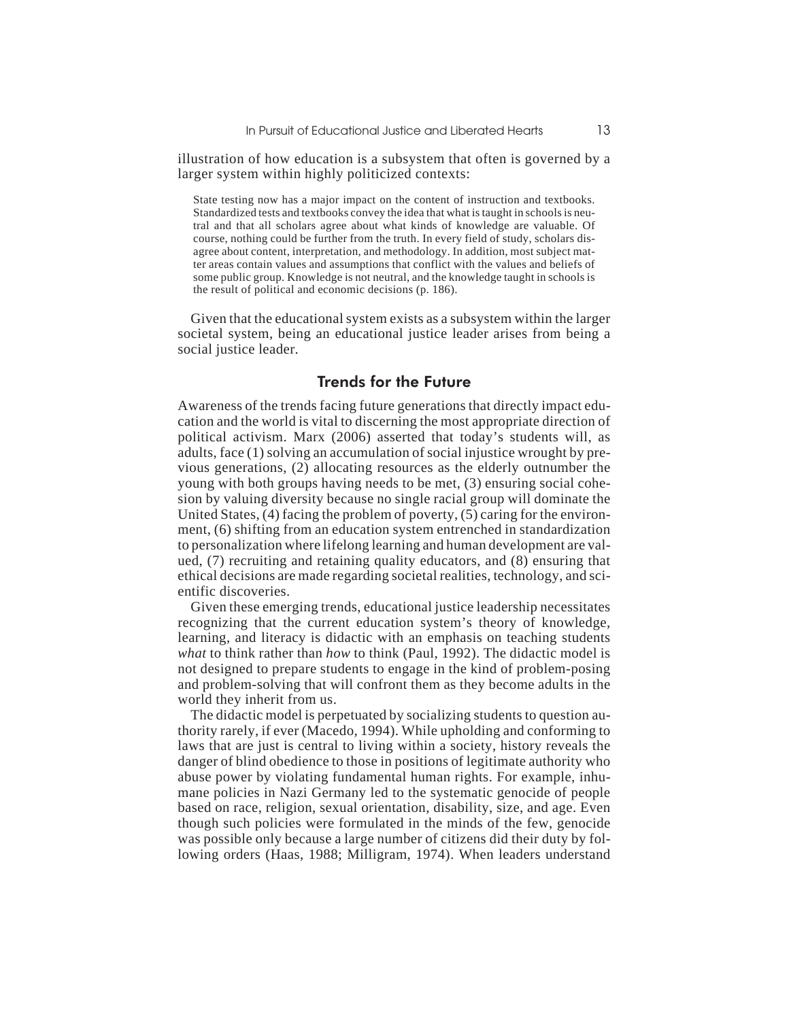illustration of how education is a subsystem that often is governed by a larger system within highly politicized contexts:

State testing now has a major impact on the content of instruction and textbooks. Standardized tests and textbooks convey the idea that what is taught in schools is neutral and that all scholars agree about what kinds of knowledge are valuable. Of course, nothing could be further from the truth. In every field of study, scholars disagree about content, interpretation, and methodology. In addition, most subject matter areas contain values and assumptions that conflict with the values and beliefs of some public group. Knowledge is not neutral, and the knowledge taught in schools is the result of political and economic decisions (p. 186).

Given that the educational system exists as a subsystem within the larger societal system, being an educational justice leader arises from being a social justice leader.

#### Trends for the Future

Awareness of the trends facing future generations that directly impact education and the world is vital to discerning the most appropriate direction of political activism. Marx (2006) asserted that today's students will, as adults, face (1) solving an accumulation of social injustice wrought by previous generations, (2) allocating resources as the elderly outnumber the young with both groups having needs to be met, (3) ensuring social cohesion by valuing diversity because no single racial group will dominate the United States, (4) facing the problem of poverty, (5) caring for the environment, (6) shifting from an education system entrenched in standardization to personalization where lifelong learning and human development are valued, (7) recruiting and retaining quality educators, and (8) ensuring that ethical decisions are made regarding societal realities, technology, and scientific discoveries.

Given these emerging trends, educational justice leadership necessitates recognizing that the current education system's theory of knowledge, learning, and literacy is didactic with an emphasis on teaching students *what* to think rather than *how* to think (Paul, 1992). The didactic model is not designed to prepare students to engage in the kind of problem-posing and problem-solving that will confront them as they become adults in the world they inherit from us.

The didactic model is perpetuated by socializing students to question authority rarely, if ever (Macedo, 1994). While upholding and conforming to laws that are just is central to living within a society, history reveals the danger of blind obedience to those in positions of legitimate authority who abuse power by violating fundamental human rights. For example, inhumane policies in Nazi Germany led to the systematic genocide of people based on race, religion, sexual orientation, disability, size, and age. Even though such policies were formulated in the minds of the few, genocide was possible only because a large number of citizens did their duty by following orders (Haas, 1988; Milligram, 1974). When leaders understand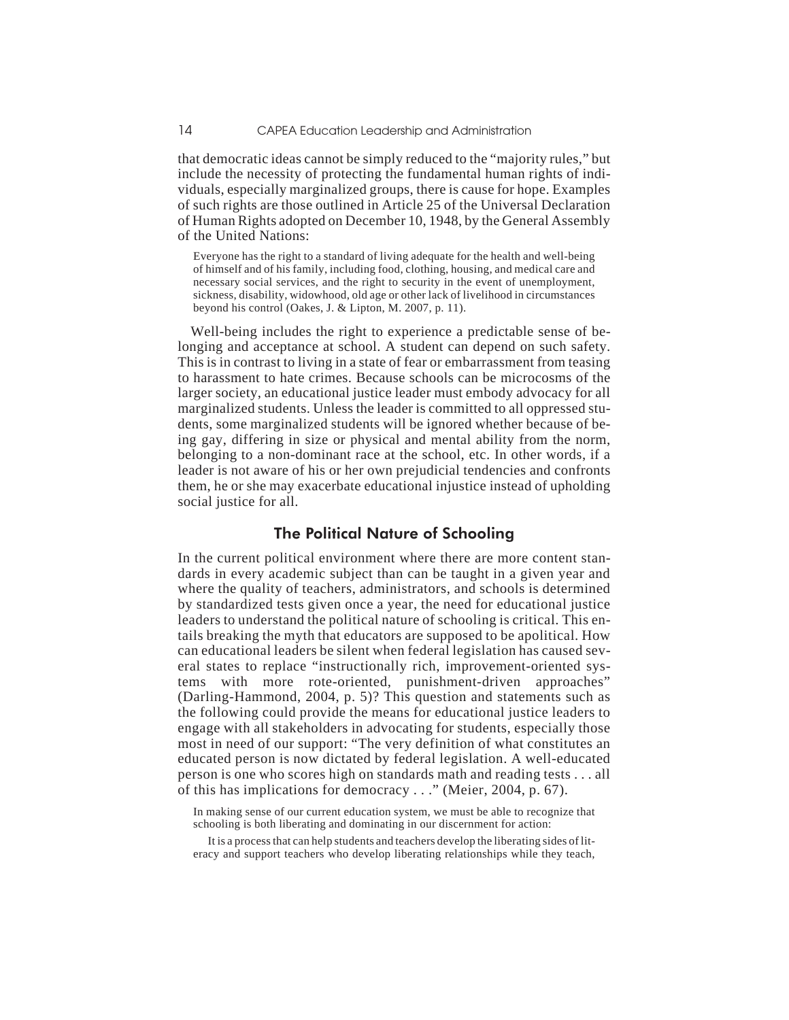that democratic ideas cannot be simply reduced to the "majority rules," but include the necessity of protecting the fundamental human rights of individuals, especially marginalized groups, there is cause for hope. Examples of such rights are those outlined in Article 25 of the Universal Declaration of Human Rights adopted on December 10, 1948, by the General Assembly of the United Nations:

Everyone has the right to a standard of living adequate for the health and well-being of himself and of his family, including food, clothing, housing, and medical care and necessary social services, and the right to security in the event of unemployment, sickness, disability, widowhood, old age or other lack of livelihood in circumstances beyond his control (Oakes, J. & Lipton, M. 2007, p. 11).

Well-being includes the right to experience a predictable sense of belonging and acceptance at school. A student can depend on such safety. This is in contrast to living in a state of fear or embarrassment from teasing to harassment to hate crimes. Because schools can be microcosms of the larger society, an educational justice leader must embody advocacy for all marginalized students. Unless the leader is committed to all oppressed students, some marginalized students will be ignored whether because of being gay, differing in size or physical and mental ability from the norm, belonging to a non-dominant race at the school, etc. In other words, if a leader is not aware of his or her own prejudicial tendencies and confronts them, he or she may exacerbate educational injustice instead of upholding social justice for all.

# The Political Nature of Schooling

In the current political environment where there are more content standards in every academic subject than can be taught in a given year and where the quality of teachers, administrators, and schools is determined by standardized tests given once a year, the need for educational justice leaders to understand the political nature of schooling is critical. This entails breaking the myth that educators are supposed to be apolitical. How can educational leaders be silent when federal legislation has caused several states to replace "instructionally rich, improvement-oriented systems with more rote-oriented, punishment-driven approaches" (Darling-Hammond, 2004, p. 5)? This question and statements such as the following could provide the means for educational justice leaders to engage with all stakeholders in advocating for students, especially those most in need of our support: "The very definition of what constitutes an educated person is now dictated by federal legislation. A well-educated person is one who scores high on standards math and reading tests . . . all of this has implications for democracy . . ." (Meier, 2004, p. 67).

In making sense of our current education system, we must be able to recognize that schooling is both liberating and dominating in our discernment for action:

It is a process that can help students and teachers develop the liberating sides of literacy and support teachers who develop liberating relationships while they teach,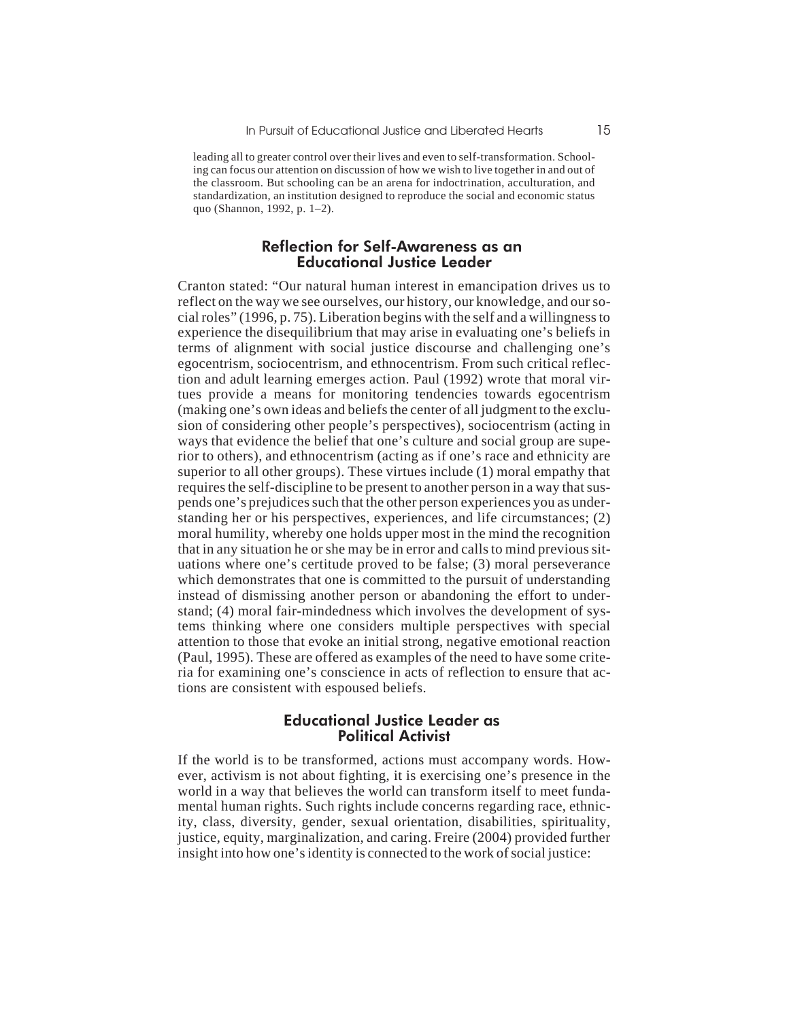leading all to greater control over their lives and even to self-transformation. Schooling can focus our attention on discussion of how we wish to live together in and out of the classroom. But schooling can be an arena for indoctrination, acculturation, and standardization, an institution designed to reproduce the social and economic status quo (Shannon, 1992, p. 1–2).

#### Reflection for Self-Awareness as an Educational Justice Leader

Cranton stated: "Our natural human interest in emancipation drives us to reflect on the way we see ourselves, our history, our knowledge, and our social roles" (1996, p. 75). Liberation begins with the self and a willingness to experience the disequilibrium that may arise in evaluating one's beliefs in terms of alignment with social justice discourse and challenging one's egocentrism, sociocentrism, and ethnocentrism. From such critical reflection and adult learning emerges action. Paul (1992) wrote that moral virtues provide a means for monitoring tendencies towards egocentrism (making one's own ideas and beliefs the center of all judgment to the exclusion of considering other people's perspectives), sociocentrism (acting in ways that evidence the belief that one's culture and social group are superior to others), and ethnocentrism (acting as if one's race and ethnicity are superior to all other groups). These virtues include (1) moral empathy that requires the self-discipline to be present to another person in a way that suspends one's prejudices such that the other person experiences you as understanding her or his perspectives, experiences, and life circumstances; (2) moral humility, whereby one holds upper most in the mind the recognition that in any situation he or she may be in error and calls to mind previous situations where one's certitude proved to be false; (3) moral perseverance which demonstrates that one is committed to the pursuit of understanding instead of dismissing another person or abandoning the effort to understand; (4) moral fair-mindedness which involves the development of systems thinking where one considers multiple perspectives with special attention to those that evoke an initial strong, negative emotional reaction (Paul, 1995). These are offered as examples of the need to have some criteria for examining one's conscience in acts of reflection to ensure that actions are consistent with espoused beliefs.

#### Educational Justice Leader as Political Activist

If the world is to be transformed, actions must accompany words. However, activism is not about fighting, it is exercising one's presence in the world in a way that believes the world can transform itself to meet fundamental human rights. Such rights include concerns regarding race, ethnicity, class, diversity, gender, sexual orientation, disabilities, spirituality, justice, equity, marginalization, and caring. Freire (2004) provided further insight into how one's identity is connected to the work of social justice: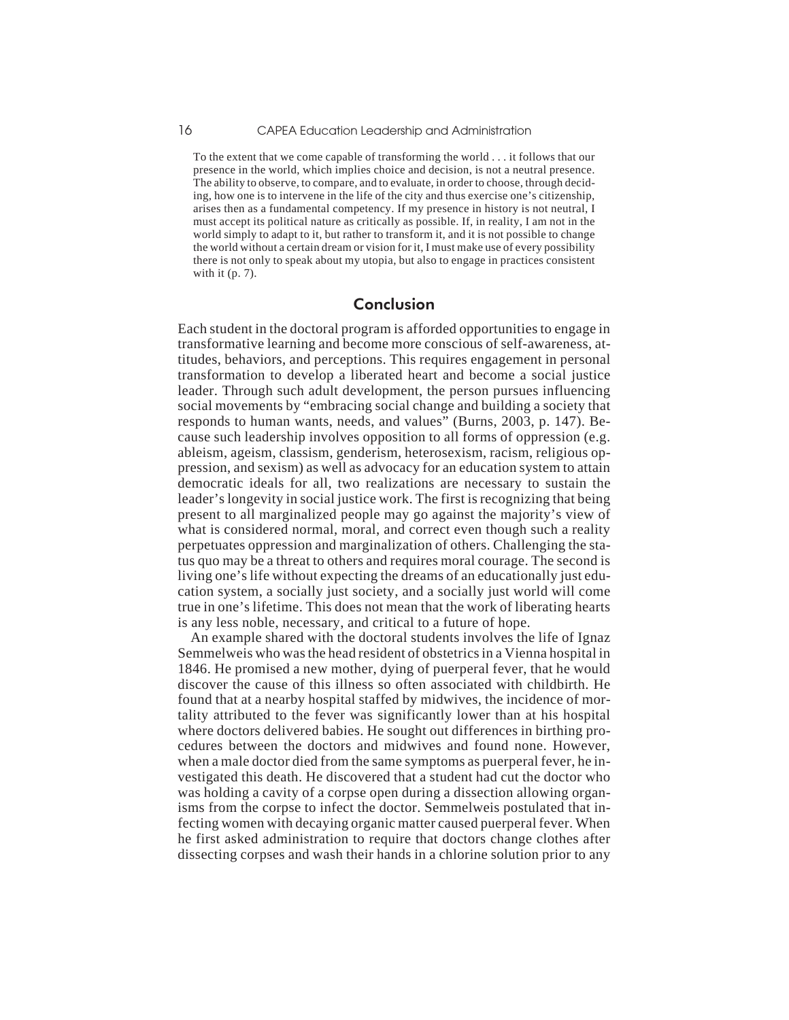To the extent that we come capable of transforming the world . . . it follows that our presence in the world, which implies choice and decision, is not a neutral presence. The ability to observe, to compare, and to evaluate, in order to choose, through deciding, how one is to intervene in the life of the city and thus exercise one's citizenship, arises then as a fundamental competency. If my presence in history is not neutral, I must accept its political nature as critically as possible. If, in reality, I am not in the world simply to adapt to it, but rather to transform it, and it is not possible to change the world without a certain dream or vision for it, I must make use of every possibility there is not only to speak about my utopia, but also to engage in practices consistent with it (p. 7).

## Conclusion

Each student in the doctoral program is afforded opportunities to engage in transformative learning and become more conscious of self-awareness, attitudes, behaviors, and perceptions. This requires engagement in personal transformation to develop a liberated heart and become a social justice leader. Through such adult development, the person pursues influencing social movements by "embracing social change and building a society that responds to human wants, needs, and values" (Burns, 2003, p. 147). Because such leadership involves opposition to all forms of oppression (e.g. ableism, ageism, classism, genderism, heterosexism, racism, religious oppression, and sexism) as well as advocacy for an education system to attain democratic ideals for all, two realizations are necessary to sustain the leader's longevity in social justice work. The first is recognizing that being present to all marginalized people may go against the majority's view of what is considered normal, moral, and correct even though such a reality perpetuates oppression and marginalization of others. Challenging the status quo may be a threat to others and requires moral courage. The second is living one's life without expecting the dreams of an educationally just education system, a socially just society, and a socially just world will come true in one's lifetime. This does not mean that the work of liberating hearts is any less noble, necessary, and critical to a future of hope.

An example shared with the doctoral students involves the life of Ignaz Semmelweis who was the head resident of obstetrics in a Vienna hospital in 1846. He promised a new mother, dying of puerperal fever, that he would discover the cause of this illness so often associated with childbirth. He found that at a nearby hospital staffed by midwives, the incidence of mortality attributed to the fever was significantly lower than at his hospital where doctors delivered babies. He sought out differences in birthing procedures between the doctors and midwives and found none. However, when a male doctor died from the same symptoms as puerperal fever, he investigated this death. He discovered that a student had cut the doctor who was holding a cavity of a corpse open during a dissection allowing organisms from the corpse to infect the doctor. Semmelweis postulated that infecting women with decaying organic matter caused puerperal fever. When he first asked administration to require that doctors change clothes after dissecting corpses and wash their hands in a chlorine solution prior to any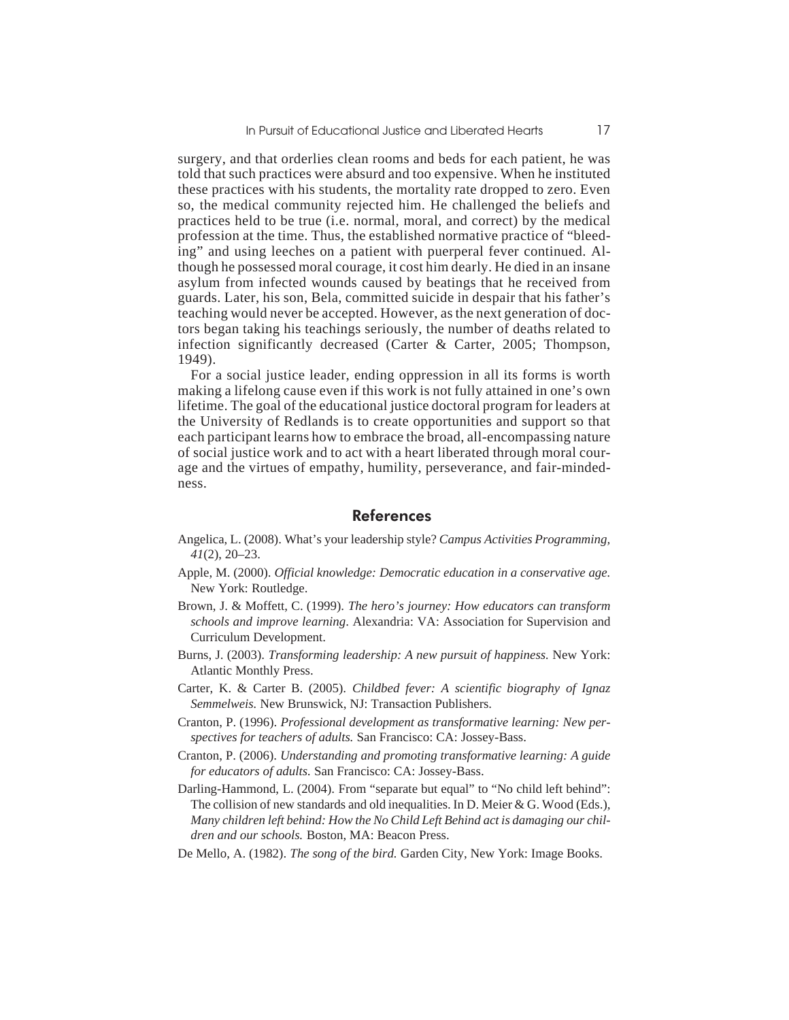surgery, and that orderlies clean rooms and beds for each patient, he was told that such practices were absurd and too expensive. When he instituted these practices with his students, the mortality rate dropped to zero. Even so, the medical community rejected him. He challenged the beliefs and practices held to be true (i.e. normal, moral, and correct) by the medical profession at the time. Thus, the established normative practice of "bleeding" and using leeches on a patient with puerperal fever continued. Although he possessed moral courage, it cost him dearly. He died in an insane asylum from infected wounds caused by beatings that he received from guards. Later, his son, Bela, committed suicide in despair that his father's teaching would never be accepted. However, as the next generation of doctors began taking his teachings seriously, the number of deaths related to infection significantly decreased (Carter & Carter, 2005; Thompson, 1949).

For a social justice leader, ending oppression in all its forms is worth making a lifelong cause even if this work is not fully attained in one's own lifetime. The goal of the educational justice doctoral program for leaders at the University of Redlands is to create opportunities and support so that each participant learns how to embrace the broad, all-encompassing nature of social justice work and to act with a heart liberated through moral courage and the virtues of empathy, humility, perseverance, and fair-mindedness.

#### References

- Angelica, L. (2008). What's your leadership style? *Campus Activities Programming, 41*(2), 20–23.
- Apple, M. (2000). *Official knowledge: Democratic education in a conservative age.* New York: Routledge.
- Brown, J. & Moffett, C. (1999). *The hero's journey: How educators can transform schools and improve learning*. Alexandria: VA: Association for Supervision and Curriculum Development.
- Burns, J. (2003). *Transforming leadership: A new pursuit of happiness.* New York: Atlantic Monthly Press.
- Carter, K. & Carter B. (2005). *Childbed fever: A scientific biography of Ignaz Semmelweis.* New Brunswick, NJ: Transaction Publishers.
- Cranton, P. (1996). *Professional development as transformative learning: New perspectives for teachers of adults.* San Francisco: CA: Jossey-Bass.
- Cranton, P. (2006). *Understanding and promoting transformative learning: A guide for educators of adults.* San Francisco: CA: Jossey-Bass.
- Darling-Hammond, L. (2004). From "separate but equal" to "No child left behind": The collision of new standards and old inequalities. In D. Meier & G. Wood (Eds.), *Many children left behind: How the No Child Left Behind act is damaging our children and our schools.* Boston, MA: Beacon Press.
- De Mello, A. (1982). *The song of the bird.* Garden City, New York: Image Books.